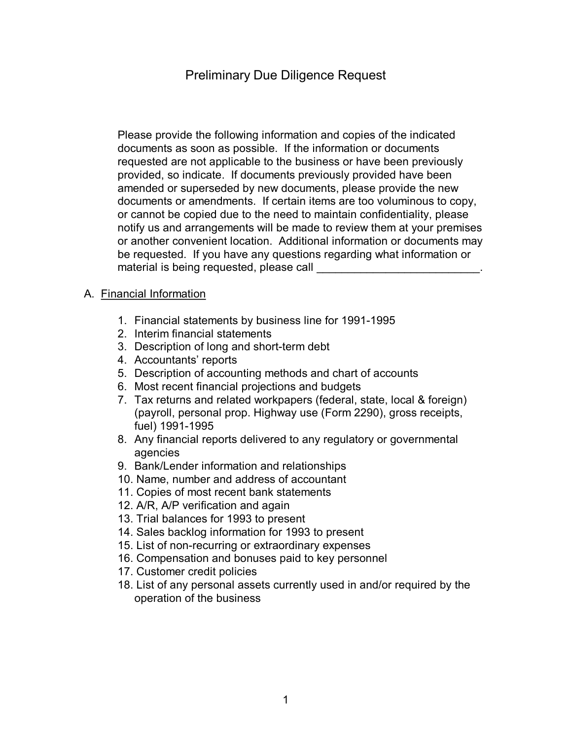# Preliminary Due Diligence Request

Please provide the following information and copies of the indicated documents as soon as possible. If the information or documents requested are not applicable to the business or have been previously provided, so indicate. If documents previously provided have been amended or superseded by new documents, please provide the new documents or amendments. If certain items are too voluminous to copy, or cannot be copied due to the need to maintain confidentiality, please notify us and arrangements will be made to review them at your premises or another convenient location. Additional information or documents may be requested. If you have any questions regarding what information or material is being requested, please call

#### A. Financial Information

- 1. Financial statements by business line for 1991-1995
- 2. Interim financial statements
- 3. Description of long and short-term debt
- 4. Accountants' reports
- 5. Description of accounting methods and chart of accounts
- 6. Most recent financial projections and budgets
- 7. Tax returns and related workpapers (federal, state, local & foreign) (payroll, personal prop. Highway use (Form 2290), gross receipts, fuel) 1991-1995
- 8. Any financial reports delivered to any regulatory or governmental agencies
- 9. Bank/Lender information and relationships
- 10. Name, number and address of accountant
- 11. Copies of most recent bank statements
- 12. A/R, A/P verification and again
- 13. Trial balances for 1993 to present
- 14. Sales backlog information for 1993 to present
- 15. List of non-recurring or extraordinary expenses
- 16. Compensation and bonuses paid to key personnel
- 17. Customer credit policies
- 18. List of any personal assets currently used in and/or required by the operation of the business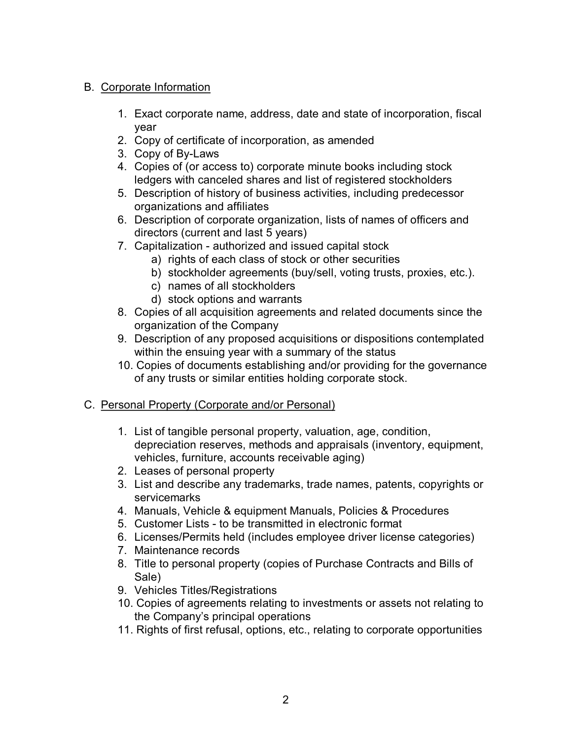### B. Corporate Information

- 1. Exact corporate name, address, date and state of incorporation, fiscal year
- 2. Copy of certificate of incorporation, as amended
- 3. Copy of By-Laws
- 4. Copies of (or access to) corporate minute books including stock ledgers with canceled shares and list of registered stockholders
- 5. Description of history of business activities, including predecessor organizations and affiliates
- 6. Description of corporate organization, lists of names of officers and directors (current and last 5 years)
- 7. Capitalization authorized and issued capital stock
	- a) rights of each class of stock or other securities
	- b) stockholder agreements (buy/sell, voting trusts, proxies, etc.).
	- c) names of all stockholders
	- d) stock options and warrants
- 8. Copies of all acquisition agreements and related documents since the organization of the Company
- 9. Description of any proposed acquisitions or dispositions contemplated within the ensuing year with a summary of the status
- 10. Copies of documents establishing and/or providing for the governance of any trusts or similar entities holding corporate stock.

### C. Personal Property (Corporate and/or Personal)

- 1. List of tangible personal property, valuation, age, condition, depreciation reserves, methods and appraisals (inventory, equipment, vehicles, furniture, accounts receivable aging)
- 2. Leases of personal property
- 3. List and describe any trademarks, trade names, patents, copyrights or servicemarks
- 4. Manuals, Vehicle & equipment Manuals, Policies & Procedures
- 5. Customer Lists to be transmitted in electronic format
- 6. Licenses/Permits held (includes employee driver license categories)
- 7. Maintenance records
- 8. Title to personal property (copies of Purchase Contracts and Bills of Sale)
- 9. Vehicles Titles/Registrations
- 10. Copies of agreements relating to investments or assets not relating to the Company's principal operations
- 11. Rights of first refusal, options, etc., relating to corporate opportunities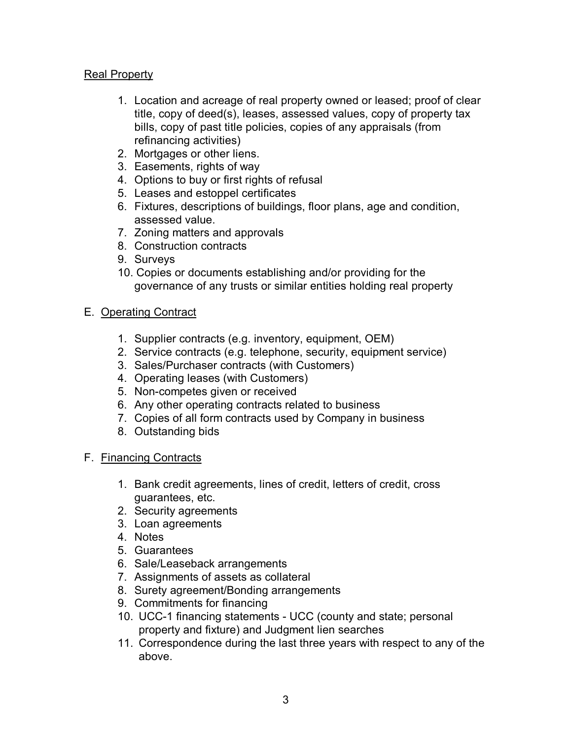#### Real Property

- 1. Location and acreage of real property owned or leased; proof of clear title, copy of deed(s), leases, assessed values, copy of property tax bills, copy of past title policies, copies of any appraisals (from refinancing activities)
- 2. Mortgages or other liens.
- 3. Easements, rights of way
- 4. Options to buy or first rights of refusal
- 5. Leases and estoppel certificates
- 6. Fixtures, descriptions of buildings, floor plans, age and condition, assessed value.
- 7. Zoning matters and approvals
- 8. Construction contracts
- 9. Surveys
- 10. Copies or documents establishing and/or providing for the governance of any trusts or similar entities holding real property

#### E. Operating Contract

- 1. Supplier contracts (e.g. inventory, equipment, OEM)
- 2. Service contracts (e.g. telephone, security, equipment service)
- 3. Sales/Purchaser contracts (with Customers)
- 4. Operating leases (with Customers)
- 5. Non-competes given or received
- 6. Any other operating contracts related to business
- 7. Copies of all form contracts used by Company in business
- 8. Outstanding bids

#### F. Financing Contracts

- 1. Bank credit agreements, lines of credit, letters of credit, cross guarantees, etc.
- 2. Security agreements
- 3. Loan agreements
- 4. Notes
- 5. Guarantees
- 6. Sale/Leaseback arrangements
- 7. Assignments of assets as collateral
- 8. Surety agreement/Bonding arrangements
- 9. Commitments for financing
- 10. UCC-1 financing statements UCC (county and state; personal property and fixture) and Judgment lien searches
- 11. Correspondence during the last three years with respect to any of the above.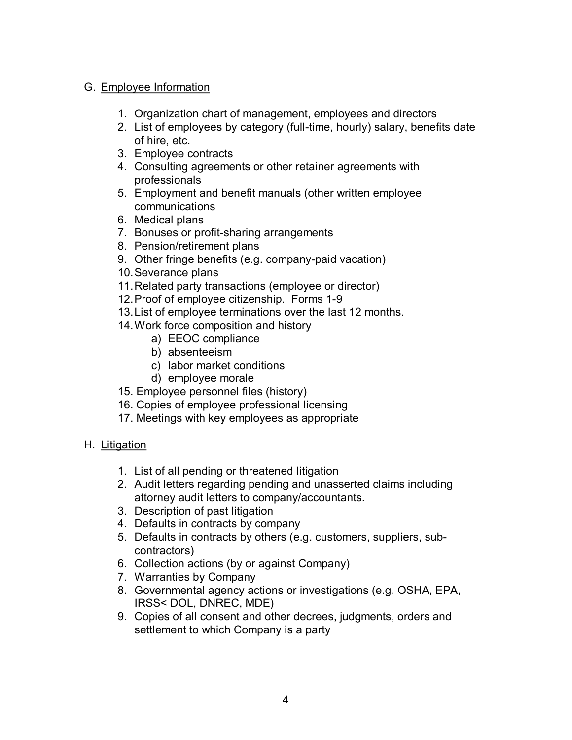### G. Employee Information

- 1. Organization chart of management, employees and directors
- 2. List of employees by category (full-time, hourly) salary, benefits date of hire, etc.
- 3. Employee contracts
- 4. Consulting agreements or other retainer agreements with professionals
- 5. Employment and benefit manuals (other written employee communications
- 6. Medical plans
- 7. Bonuses or profit-sharing arrangements
- 8. Pension/retirement plans
- 9. Other fringe benefits (e.g. company-paid vacation)
- 10.Severance plans
- 11.Related party transactions (employee or director)
- 12. Proof of employee citizenship. Forms 1-9
- 13.List of employee terminations over the last 12 months.
- 14.Work force composition and history
	- a) EEOC compliance
	- b) absenteeism
	- c) labor market conditions
	- d) employee morale
- 15. Employee personnel files (history)
- 16. Copies of employee professional licensing
- 17. Meetings with key employees as appropriate

#### H. Litigation

- 1. List of all pending or threatened litigation
- 2. Audit letters regarding pending and unasserted claims including attorney audit letters to company/accountants.
- 3. Description of past litigation
- 4. Defaults in contracts by company
- 5. Defaults in contracts by others (e.g. customers, suppliers, subcontractors)
- 6. Collection actions (by or against Company)
- 7. Warranties by Company
- 8. Governmental agency actions or investigations (e.g. OSHA, EPA, IRSS< DOL, DNREC, MDE)
- 9. Copies of all consent and other decrees, judgments, orders and settlement to which Company is a party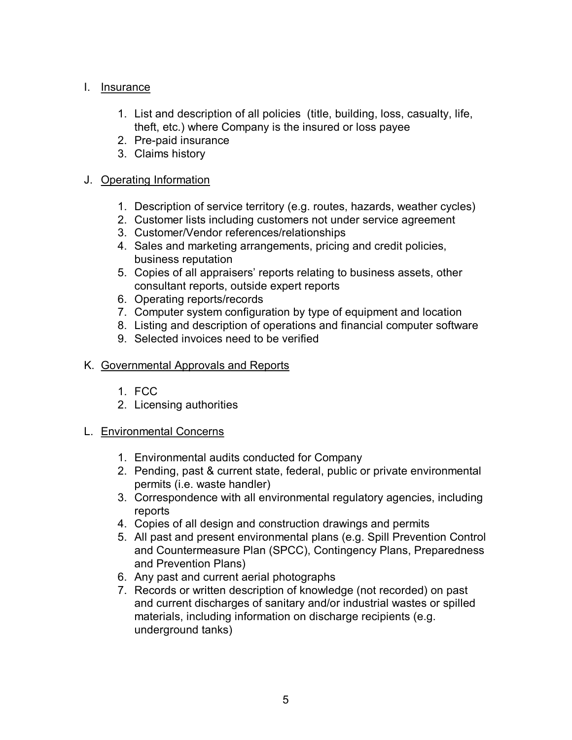#### I. Insurance

- 1. List and description of all policies (title, building, loss, casualty, life, theft, etc.) where Company is the insured or loss payee
- 2. Pre-paid insurance
- 3. Claims history

## J. Operating Information

- 1. Description of service territory (e.g. routes, hazards, weather cycles)
- 2. Customer lists including customers not under service agreement
- 3. Customer/Vendor references/relationships
- 4. Sales and marketing arrangements, pricing and credit policies, business reputation
- 5. Copies of all appraisers' reports relating to business assets, other consultant reports, outside expert reports
- 6. Operating reports/records
- 7. Computer system configuration by type of equipment and location
- 8. Listing and description of operations and financial computer software
- 9. Selected invoices need to be verified

### K. Governmental Approvals and Reports

- 1. FCC
- 2. Licensing authorities
- L. Environmental Concerns
	- 1. Environmental audits conducted for Company
	- 2. Pending, past & current state, federal, public or private environmental permits (i.e. waste handler)
	- 3. Correspondence with all environmental regulatory agencies, including reports
	- 4. Copies of all design and construction drawings and permits
	- 5. All past and present environmental plans (e.g. Spill Prevention Control and Countermeasure Plan (SPCC), Contingency Plans, Preparedness and Prevention Plans)
	- 6. Any past and current aerial photographs
	- 7. Records or written description of knowledge (not recorded) on past and current discharges of sanitary and/or industrial wastes or spilled materials, including information on discharge recipients (e.g. underground tanks)